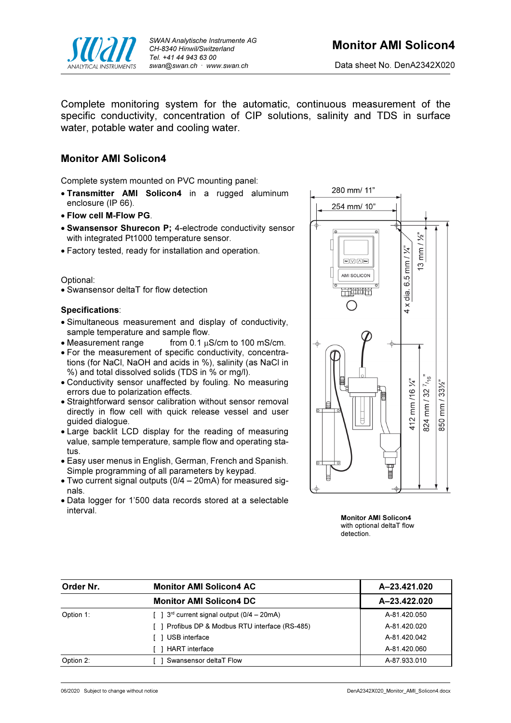

Complete monitoring system for the automatic, continuous measurement of the specific conductivity, concentration of CIP solutions, salinity and TDS in surface water, potable water and cooling water.

## Monitor AMI Solicon4

Complete system mounted on PVC mounting panel:

- Transmitter AMI Solicon4 in a rugged aluminum enclosure (IP 66).
- Flow cell M-Flow PG.
- Swansensor Shurecon P; 4-electrode conductivity sensor with integrated Pt1000 temperature sensor.
- Factory tested, ready for installation and operation.

## Optional:

Swansensor deltaT for flow detection

## Specifications:

- Simultaneous measurement and display of conductivity, sample temperature and sample flow.
- Measurement range from  $0.1 \mu S/cm$  to  $100 \text{ mS/cm}$ .
- For the measurement of specific conductivity, concentrations (for NaCl, NaOH and acids in %), salinity (as NaCl in %) and total dissolved solids (TDS in % or mg/l).
- Conductivity sensor unaffected by fouling. No measuring errors due to polarization effects.
- Straightforward sensor calibration without sensor removal directly in flow cell with quick release vessel and user guided dialogue.
- Large backlit LCD display for the reading of measuring value, sample temperature, sample flow and operating status.
- Easy user menus in English, German, French and Spanish. Simple programming of all parameters by keypad.
- Two current signal outputs (0/4 20mA) for measured signals.
- Data logger for 1'500 data records stored at a selectable interval.



Monitor AMI Solicon4 with optional deltaT flow detection.

| Order Nr. | <b>Monitor AMI Solicon4 AC</b>                                | A-23.421.020 |
|-----------|---------------------------------------------------------------|--------------|
|           | <b>Monitor AMI Solicon4 DC</b>                                | A-23.422.020 |
| Option 1: | $\lceil$ 1 3 <sup>rd</sup> current signal output (0/4 – 20mA) | A-81.420.050 |
|           | Profibus DP & Modbus RTU interface (RS-485)                   | A-81.420.020 |
|           | USB interface                                                 | A-81.420.042 |
|           | <b>HART</b> interface                                         | A-81.420.060 |
| Option 2: | Swansensor deltaT Flow                                        | A-87.933.010 |